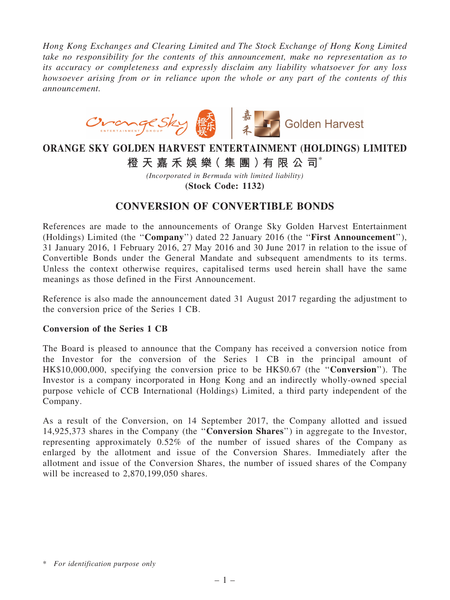*Hong Kong Exchanges and Clearing Limited and The Stock Exchange of Hong Kong Limited take no responsibility for the contents of this announcement, make no representation as to its accuracy or completeness and expressly disclaim any liability whatsoever for any loss howsoever arising from or in reliance upon the whole or any part of the contents of this announcement.*



## ORANGE SKY GOLDEN HARVEST ENTERTAINMENT (HOLDINGS) LIMITED

橙 天 嘉 禾 娛 樂 (集 團 ) 有 限 公 司 $^*$ 

*(Incorporated in Bermuda with limited liability)* (Stock Code: 1132)

## CONVERSION OF CONVERTIBLE BONDS

References are made to the announcements of Orange Sky Golden Harvest Entertainment (Holdings) Limited (the ''Company'') dated 22 January 2016 (the ''First Announcement''), 31 January 2016, 1 February 2016, 27 May 2016 and 30 June 2017 in relation to the issue of Convertible Bonds under the General Mandate and subsequent amendments to its terms. Unless the context otherwise requires, capitalised terms used herein shall have the same meanings as those defined in the First Announcement.

Reference is also made the announcement dated 31 August 2017 regarding the adjustment to the conversion price of the Series 1 CB.

## Conversion of the Series 1 CB

The Board is pleased to announce that the Company has received a conversion notice from the Investor for the conversion of the Series 1 CB in the principal amount of HK\$10,000,000, specifying the conversion price to be HK\$0.67 (the ''Conversion''). The Investor is a company incorporated in Hong Kong and an indirectly wholly-owned special purpose vehicle of CCB International (Holdings) Limited, a third party independent of the Company.

As a result of the Conversion, on 14 September 2017, the Company allotted and issued 14,925,373 shares in the Company (the ''Conversion Shares'') in aggregate to the Investor, representing approximately 0.52% of the number of issued shares of the Company as enlarged by the allotment and issue of the Conversion Shares. Immediately after the allotment and issue of the Conversion Shares, the number of issued shares of the Company will be increased to 2,870,199,050 shares.

<sup>\*</sup> *For identification purpose only*